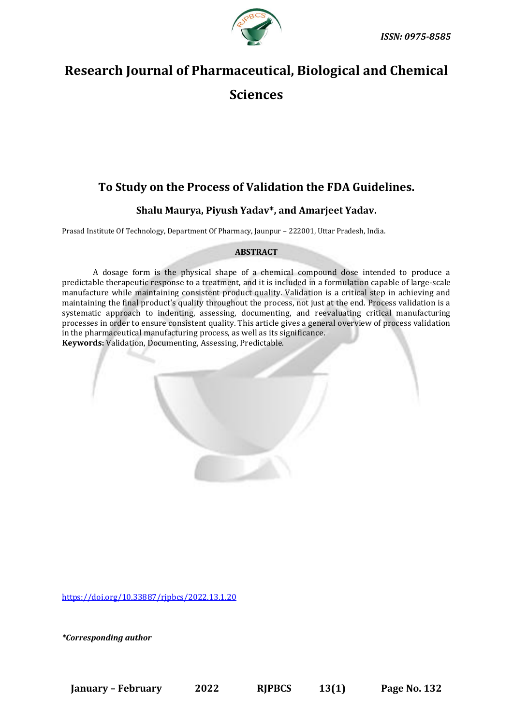

# **Research Journal of Pharmaceutical, Biological and Chemical Sciences**

# **To Study on the Process of Validation the FDA Guidelines.**

## **Shalu Maurya, Piyush Yadav\*, and Amarjeet Yadav.**

Prasad Institute Of Technology, Department Of Pharmacy, Jaunpur – 222001, Uttar Pradesh, India.

### **ABSTRACT**

A dosage form is the physical shape of a chemical compound dose intended to produce a predictable therapeutic response to a treatment, and it is included in a formulation capable of large-scale manufacture while maintaining consistent product quality. Validation is a critical step in achieving and maintaining the final product's quality throughout the process, not just at the end. Process validation is a systematic approach to indenting, assessing, documenting, and reevaluating critical manufacturing processes in order to ensure consistent quality. This article gives a general overview of process validation in the pharmaceutical manufacturing process, as well as its significance. **Keywords:** Validation, Documenting, Assessing, Predictable.



<https://doi.org/10.33887/rjpbcs/2022.13.1.20>

*\*Corresponding author*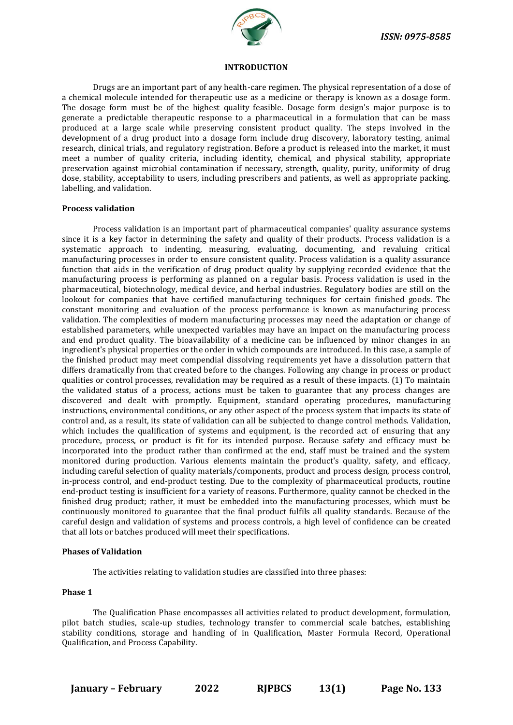

#### **INTRODUCTION**

Drugs are an important part of any health-care regimen. The physical representation of a dose of a chemical molecule intended for therapeutic use as a medicine or therapy is known as a dosage form. The dosage form must be of the highest quality feasible. Dosage form design's major purpose is to generate a predictable therapeutic response to a pharmaceutical in a formulation that can be mass produced at a large scale while preserving consistent product quality. The steps involved in the development of a drug product into a dosage form include drug discovery, laboratory testing, animal research, clinical trials, and regulatory registration. Before a product is released into the market, it must meet a number of quality criteria, including identity, chemical, and physical stability, appropriate preservation against microbial contamination if necessary, strength, quality, purity, uniformity of drug dose, stability, acceptability to users, including prescribers and patients, as well as appropriate packing, labelling, and validation.

#### **Process validation**

Process validation is an important part of pharmaceutical companies' quality assurance systems since it is a key factor in determining the safety and quality of their products. Process validation is a systematic approach to indenting, measuring, evaluating, documenting, and revaluing critical manufacturing processes in order to ensure consistent quality. Process validation is a quality assurance function that aids in the verification of drug product quality by supplying recorded evidence that the manufacturing process is performing as planned on a regular basis. Process validation is used in the pharmaceutical, biotechnology, medical device, and herbal industries. Regulatory bodies are still on the lookout for companies that have certified manufacturing techniques for certain finished goods. The constant monitoring and evaluation of the process performance is known as manufacturing process validation. The complexities of modern manufacturing processes may need the adaptation or change of established parameters, while unexpected variables may have an impact on the manufacturing process and end product quality. The bioavailability of a medicine can be influenced by minor changes in an ingredient's physical properties or the order in which compounds are introduced. In this case, a sample of the finished product may meet compendial dissolving requirements yet have a dissolution pattern that differs dramatically from that created before to the changes. Following any change in process or product qualities or control processes, revalidation may be required as a result of these impacts. (1) To maintain the validated status of a process, actions must be taken to guarantee that any process changes are discovered and dealt with promptly. Equipment, standard operating procedures, manufacturing instructions, environmental conditions, or any other aspect of the process system that impacts its state of control and, as a result, its state of validation can all be subjected to change control methods. Validation, which includes the qualification of systems and equipment, is the recorded act of ensuring that any procedure, process, or product is fit for its intended purpose. Because safety and efficacy must be incorporated into the product rather than confirmed at the end, staff must be trained and the system monitored during production. Various elements maintain the product's quality, safety, and efficacy, including careful selection of quality materials/components, product and process design, process control, in-process control, and end-product testing. Due to the complexity of pharmaceutical products, routine end-product testing is insufficient for a variety of reasons. Furthermore, quality cannot be checked in the finished drug product; rather, it must be embedded into the manufacturing processes, which must be continuously monitored to guarantee that the final product fulfils all quality standards. Because of the careful design and validation of systems and process controls, a high level of confidence can be created that all lots or batches produced will meet their specifications.

#### **Phases of Validation**

The activities relating to validation studies are classified into three phases:

#### **Phase 1**

The Qualification Phase encompasses all activities related to product development, formulation, pilot batch studies, scale-up studies, technology transfer to commercial scale batches, establishing stability conditions, storage and handling of in Qualification, Master Formula Record, Operational Qualification, and Process Capability.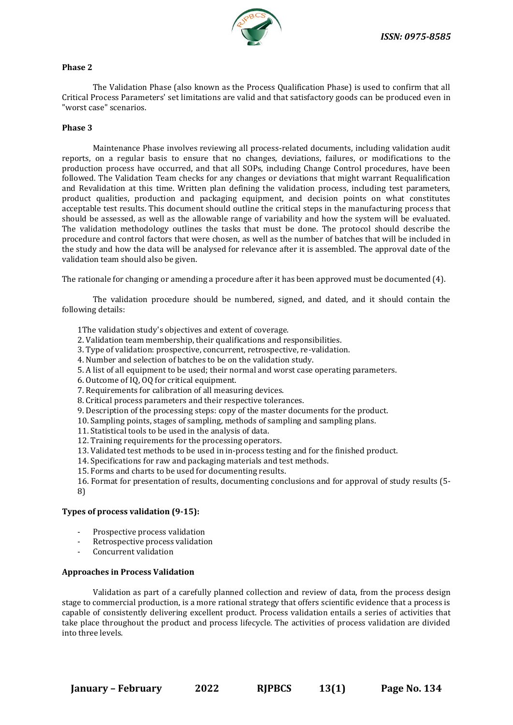

#### **Phase 2**

The Validation Phase (also known as the Process Qualification Phase) is used to confirm that all Critical Process Parameters' set limitations are valid and that satisfactory goods can be produced even in "worst case" scenarios.

#### **Phase 3**

Maintenance Phase involves reviewing all process-related documents, including validation audit reports, on a regular basis to ensure that no changes, deviations, failures, or modifications to the production process have occurred, and that all SOPs, including Change Control procedures, have been followed. The Validation Team checks for any changes or deviations that might warrant Requalification and Revalidation at this time. Written plan defining the validation process, including test parameters, product qualities, production and packaging equipment, and decision points on what constitutes acceptable test results. This document should outline the critical steps in the manufacturing process that should be assessed, as well as the allowable range of variability and how the system will be evaluated. The validation methodology outlines the tasks that must be done. The protocol should describe the procedure and control factors that were chosen, as well as the number of batches that will be included in the study and how the data will be analysed for relevance after it is assembled. The approval date of the validation team should also be given.

The rationale for changing or amending a procedure after it has been approved must be documented (4).

The validation procedure should be numbered, signed, and dated, and it should contain the following details:

1The validation study's objectives and extent of coverage.

- 2. Validation team membership, their qualifications and responsibilities.
- 3. Type of validation: prospective, concurrent, retrospective, re-validation.
- 4. Number and selection of batches to be on the validation study.
- 5. A list of all equipment to be used; their normal and worst case operating parameters.
- 6. Outcome of IQ, OQ for critical equipment.
- 7. Requirements for calibration of all measuring devices.
- 8. Critical process parameters and their respective tolerances.
- 9. Description of the processing steps: copy of the master documents for the product.
- 10. Sampling points, stages of sampling, methods of sampling and sampling plans.
- 11. Statistical tools to be used in the analysis of data.
- 12. Training requirements for the processing operators.
- 13. Validated test methods to be used in in-process testing and for the finished product.
- 14. Specifications for raw and packaging materials and test methods.
- 15. Forms and charts to be used for documenting results.

16. Format for presentation of results, documenting conclusions and for approval of study results (5- 8)

#### **Types of process validation (9-15):**

- Prospective process validation
- Retrospective process validation
- Concurrent validation

#### **Approaches in Process Validation**

Validation as part of a carefully planned collection and review of data, from the process design stage to commercial production, is a more rational strategy that offers scientific evidence that a process is capable of consistently delivering excellent product. Process validation entails a series of activities that take place throughout the product and process lifecycle. The activities of process validation are divided into three levels.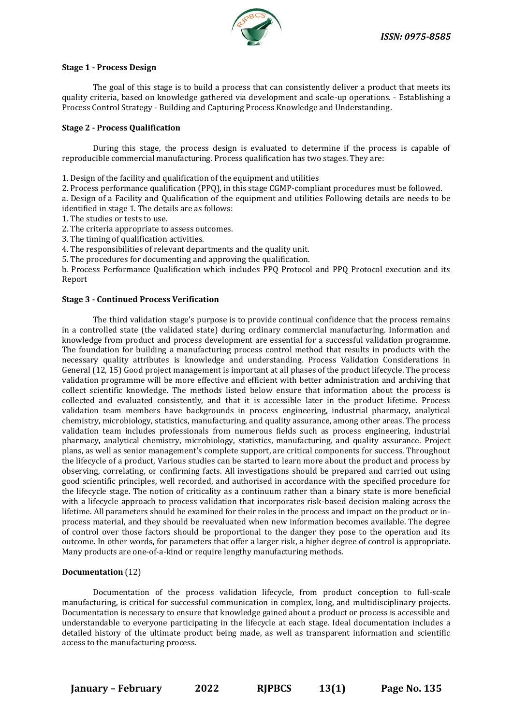

#### **Stage 1 - Process Design**

The goal of this stage is to build a process that can consistently deliver a product that meets its quality criteria, based on knowledge gathered via development and scale-up operations. - Establishing a Process Control Strategy - Building and Capturing Process Knowledge and Understanding.

#### **Stage 2 - Process Qualification**

During this stage, the process design is evaluated to determine if the process is capable of reproducible commercial manufacturing. Process qualification has two stages. They are:

1. Design of the facility and qualification of the equipment and utilities

2. Process performance qualification (PPQ), in this stage CGMP-compliant procedures must be followed.

a. Design of a Facility and Qualification of the equipment and utilities Following details are needs to be identified in stage 1. The details are as follows:

1. The studies or tests to use.

2. The criteria appropriate to assess outcomes.

3. The timing of qualification activities.

4. The responsibilities of relevant departments and the quality unit.

5. The procedures for documenting and approving the qualification.

b. Process Performance Qualification which includes PPQ Protocol and PPQ Protocol execution and its Report

#### **Stage 3 - Continued Process Verification**

The third validation stage's purpose is to provide continual confidence that the process remains in a controlled state (the validated state) during ordinary commercial manufacturing. Information and knowledge from product and process development are essential for a successful validation programme. The foundation for building a manufacturing process control method that results in products with the necessary quality attributes is knowledge and understanding. Process Validation Considerations in General (12, 15) Good project management is important at all phases of the product lifecycle. The process validation programme will be more effective and efficient with better administration and archiving that collect scientific knowledge. The methods listed below ensure that information about the process is collected and evaluated consistently, and that it is accessible later in the product lifetime. Process validation team members have backgrounds in process engineering, industrial pharmacy, analytical chemistry, microbiology, statistics, manufacturing, and quality assurance, among other areas. The process validation team includes professionals from numerous fields such as process engineering, industrial pharmacy, analytical chemistry, microbiology, statistics, manufacturing, and quality assurance. Project plans, as well as senior management's complete support, are critical components for success. Throughout the lifecycle of a product, Various studies can be started to learn more about the product and process by observing, correlating, or confirming facts. All investigations should be prepared and carried out using good scientific principles, well recorded, and authorised in accordance with the specified procedure for the lifecycle stage. The notion of criticality as a continuum rather than a binary state is more beneficial with a lifecycle approach to process validation that incorporates risk-based decision making across the lifetime. All parameters should be examined for their roles in the process and impact on the product or inprocess material, and they should be reevaluated when new information becomes available. The degree of control over those factors should be proportional to the danger they pose to the operation and its outcome. In other words, for parameters that offer a larger risk, a higher degree of control is appropriate. Many products are one-of-a-kind or require lengthy manufacturing methods.

#### **Documentation** (12)

Documentation of the process validation lifecycle, from product conception to full-scale manufacturing, is critical for successful communication in complex, long, and multidisciplinary projects. Documentation is necessary to ensure that knowledge gained about a product or process is accessible and understandable to everyone participating in the lifecycle at each stage. Ideal documentation includes a detailed history of the ultimate product being made, as well as transparent information and scientific access to the manufacturing process.

**January – February 2022 RJPBCS 13(1) Page No. 135**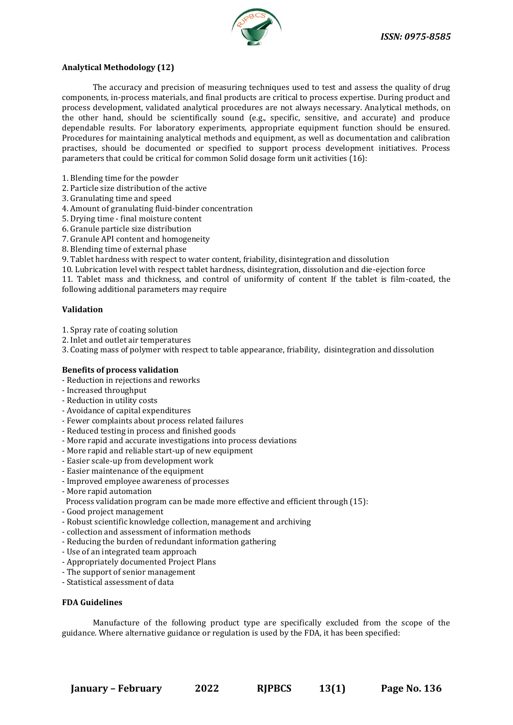

#### **Analytical Methodology (12)**

The accuracy and precision of measuring techniques used to test and assess the quality of drug components, in-process materials, and final products are critical to process expertise. During product and process development, validated analytical procedures are not always necessary. Analytical methods, on the other hand, should be scientifically sound (e.g., specific, sensitive, and accurate) and produce dependable results. For laboratory experiments, appropriate equipment function should be ensured. Procedures for maintaining analytical methods and equipment, as well as documentation and calibration practises, should be documented or specified to support process development initiatives. Process parameters that could be critical for common Solid dosage form unit activities (16):

- 1. Blending time for the powder
- 2. Particle size distribution of the active
- 3. Granulating time and speed
- 4. Amount of granulating fluid-binder concentration
- 5. Drying time final moisture content
- 6. Granule particle size distribution
- 7. Granule API content and homogeneity
- 8. Blending time of external phase
- 9. Tablet hardness with respect to water content, friability, disintegration and dissolution
- 10. Lubrication level with respect tablet hardness, disintegration, dissolution and die-ejection force

11. Tablet mass and thickness, and control of uniformity of content If the tablet is film-coated, the following additional parameters may require

#### **Validation**

- 1. Spray rate of coating solution
- 2. Inlet and outlet air temperatures
- 3. Coating mass of polymer with respect to table appearance, friability, disintegration and dissolution

### **Benefits of process validation**

- Reduction in rejections and reworks
- Increased throughput
- Reduction in utility costs
- Avoidance of capital expenditures
- Fewer complaints about process related failures
- Reduced testing in process and finished goods
- More rapid and accurate investigations into process deviations
- More rapid and reliable start-up of new equipment
- Easier scale-up from development work
- Easier maintenance of the equipment
- Improved employee awareness of processes
- More rapid automation
- Process validation program can be made more effective and efficient through (15):
- Good project management
- Robust scientific knowledge collection, management and archiving
- collection and assessment of information methods
- Reducing the burden of redundant information gathering
- Use of an integrated team approach
- Appropriately documented Project Plans
- The support of senior management
- Statistical assessment of data

#### **FDA Guidelines**

Manufacture of the following product type are specifically excluded from the scope of the guidance. Where alternative guidance or regulation is used by the FDA, it has been specified: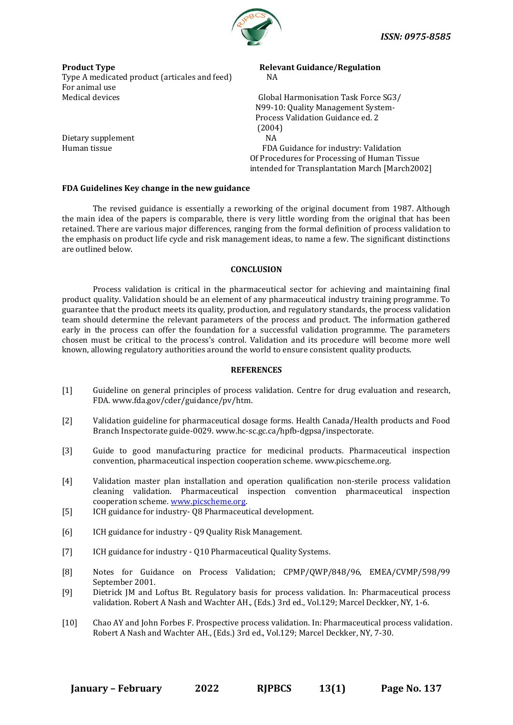

**Product Type The Contract According Product Type Relevant Guidance/Regulation** Type A medicated product (articales and feed) NA For animal use Medical devices **Medical devices** Global Harmonisation Task Force SG3/

 N99-10: Quality Management System- Process Validation Guidance ed. 2 (2004) Human tissue FDA Guidance for industry: Validation Of Procedures for Processing of Human Tissue intended for Transplantation March [March2002]

#### **FDA Guidelines Key change in the new guidance**

The revised guidance is essentially a reworking of the original document from 1987. Although the main idea of the papers is comparable, there is very little wording from the original that has been retained. There are various major differences, ranging from the formal definition of process validation to the emphasis on product life cycle and risk management ideas, to name a few. The significant distinctions are outlined below.

#### **CONCLUSION**

Process validation is critical in the pharmaceutical sector for achieving and maintaining final product quality. Validation should be an element of any pharmaceutical industry training programme. To guarantee that the product meets its quality, production, and regulatory standards, the process validation team should determine the relevant parameters of the process and product. The information gathered early in the process can offer the foundation for a successful validation programme. The parameters chosen must be critical to the process's control. Validation and its procedure will become more well known, allowing regulatory authorities around the world to ensure consistent quality products.

#### **REFERENCES**

- [1] Guideline on general principles of process validation. Centre for drug evaluation and research, FDA. www.fda.gov/cder/guidance/pv/htm.
- [2] Validation guideline for pharmaceutical dosage forms. Health Canada/Health products and Food Branch Inspectorate guide-0029. www.hc-sc.gc.ca/hpfb-dgpsa/inspectorate.
- [3] Guide to good manufacturing practice for medicinal products. Pharmaceutical inspection convention, pharmaceutical inspection cooperation scheme. www.picscheme.org.
- [4] Validation master plan installation and operation qualification non-sterile process validation cleaning validation. Pharmaceutical inspection convention pharmaceutical inspection cooperation scheme[. www.picscheme.org.](http://www.picscheme.org/)
- [5] ICH guidance for industry- Q8 Pharmaceutical development.
- [6] ICH guidance for industry Q9 Quality Risk Management.
- [7] ICH guidance for industry Q10 Pharmaceutical Quality Systems.
- [8] Notes for Guidance on Process Validation; CPMP/QWP/848/96, EMEA/CVMP/598/99 September 2001.
- [9] Dietrick JM and Loftus Bt. Regulatory basis for process validation. In: Pharmaceutical process validation. Robert A Nash and Wachter AH., (Eds.) 3rd ed., Vol.129; Marcel Deckker, NY, 1-6.
- [10] Chao AY and John Forbes F. Prospective process validation. In: Pharmaceutical process validation. Robert A Nash and Wachter AH., (Eds.) 3rd ed., Vol.129; Marcel Deckker, NY, 7-30.

Dietary supplement NA